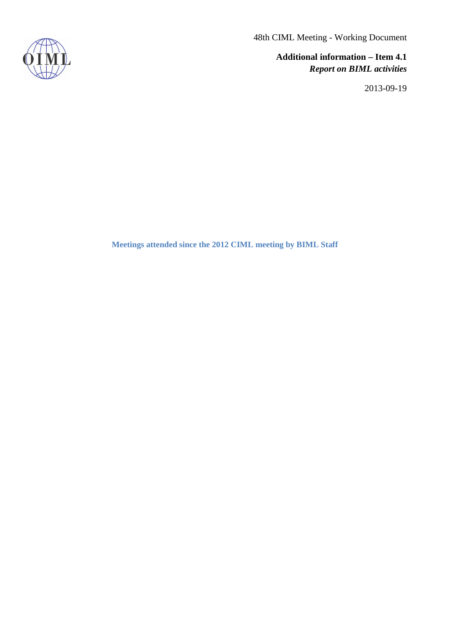48th CIML Meeting - Working Document

**Additional information – Item 4.1** *Report on BIML activities*

2013-09-19



**Meetings attended since the 2012 CIML meeting by BIML Staff**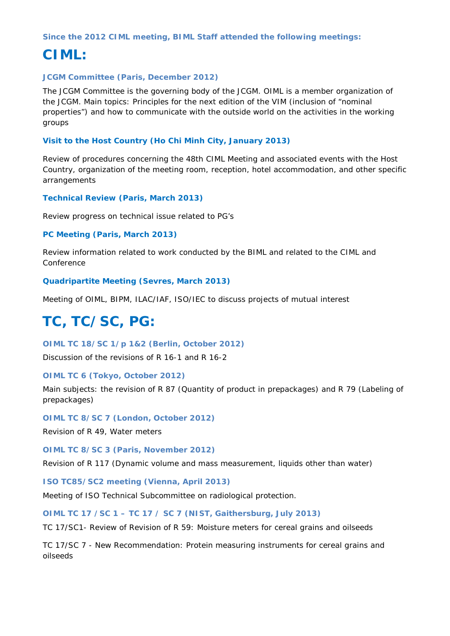#### **Since the 2012 CIML meeting, BIML Staff attended the following meetings:**

### **CIML:**

#### **JCGM Committee (Paris, December 2012)**

The JCGM Committee is the governing body of the JCGM. OIML is a member organization of the JCGM. Main topics: Principles for the next edition of the VIM (inclusion of "nominal properties") and how to communicate with the outside world on the activities in the working groups

#### **Visit to the Host Country (Ho Chi Minh City, January 2013)**

Review of procedures concerning the 48th CIML Meeting and associated events with the Host Country, organization of the meeting room, reception, hotel accommodation, and other specific arrangements

#### **Technical Review (Paris, March 2013)**

Review progress on technical issue related to PG's

#### **PC Meeting (Paris, March 2013)**

Review information related to work conducted by the BIML and related to the CIML and Conference

#### **Quadripartite Meeting (Sevres, March 2013)**

Meeting of OIML, BIPM, ILAC/IAF, ISO/IEC to discuss projects of mutual interest

# **TC, TC/SC, PG:**

**OIML TC 18/SC 1/p 1&2 (Berlin, October 2012)**

Discussion of the revisions of R 16-1 and R 16-2

#### **OIML TC 6 (Tokyo, October 2012)**

Main subjects: the revision of R 87 (Quantity of product in prepackages) and R 79 (Labeling of prepackages)

#### **OIML TC 8/SC 7 (London, October 2012)**

Revision of R 49, Water meters

#### **OIML TC 8/SC 3 (Paris, November 2012)**

Revision of R 117 (Dynamic volume and mass measurement, liquids other than water)

#### **ISO TC85/SC2 meeting (Vienna, April 2013)**

Meeting of ISO Technical Subcommittee on radiological protection.

#### **OIML TC 17 /SC 1 – TC 17 / SC 7 (NIST, Gaithersburg, July 2013)**

TC 17/SC1- Review of Revision of R 59: Moisture meters for cereal grains and oilseeds

TC 17/SC 7 - New Recommendation: Protein measuring instruments for cereal grains and oilseeds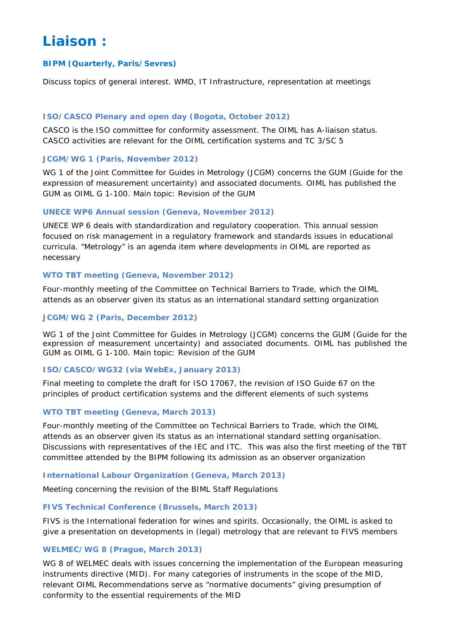## **Liaison :**

#### **BIPM (Quarterly, Paris/Sevres)**

Discuss topics of general interest. WMD, IT Infrastructure, representation at meetings

#### **ISO/CASCO Plenary and open day (Bogota, October 2012)**

CASCO is the ISO committee for conformity assessment. The OIML has A-liaison status. CASCO activities are relevant for the OIML certification systems and TC 3/SC 5

#### **JCGM/WG 1 (Paris, November 2012)**

WG 1 of the Joint Committee for Guides in Metrology (JCGM) concerns the GUM (Guide for the expression of measurement uncertainty) and associated documents. OIML has published the GUM as OIML G 1-100. Main topic: Revision of the GUM

#### **UNECE WP6 Annual session (Geneva, November 2012)**

UNECE WP 6 deals with standardization and regulatory cooperation. This annual session focused on risk management in a regulatory framework and standards issues in educational curricula. "Metrology" is an agenda item where developments in OIML are reported as necessary

#### **WTO TBT meeting (Geneva, November 2012)**

Four-monthly meeting of the Committee on Technical Barriers to Trade, which the OIML attends as an observer given its status as an international standard setting organization

#### **JCGM/WG 2 (Paris, December 2012)**

WG 1 of the Joint Committee for Guides in Metrology (JCGM) concerns the GUM (Guide for the expression of measurement uncertainty) and associated documents. OIML has published the GUM as OIML G 1-100. Main topic: Revision of the GUM

#### **ISO/CASCO/WG32 (via WebEx, January 2013)**

Final meeting to complete the draft for ISO 17067, the revision of ISO Guide 67 on the principles of product certification systems and the different elements of such systems

#### **WTO TBT meeting (Geneva, March 2013)**

Four-monthly meeting of the Committee on Technical Barriers to Trade, which the OIML attends as an observer given its status as an international standard setting organisation. Discussions with representatives of the IEC and ITC. This was also the first meeting of the TBT committee attended by the BIPM following its admission as an observer organization

#### **International Labour Organization (Geneva, March 2013)**

Meeting concerning the revision of the BIML Staff Regulations

#### **FIVS Technical Conference (Brussels, March 2013)**

FIVS is the International federation for wines and spirits. Occasionally, the OIML is asked to give a presentation on developments in (legal) metrology that are relevant to FIVS members

#### **WELMEC/WG 8 (Prague, March 2013)**

WG 8 of WELMEC deals with issues concerning the implementation of the European measuring instruments directive (MID). For many categories of instruments in the scope of the MID, relevant OIML Recommendations serve as "normative documents" giving presumption of conformity to the essential requirements of the MID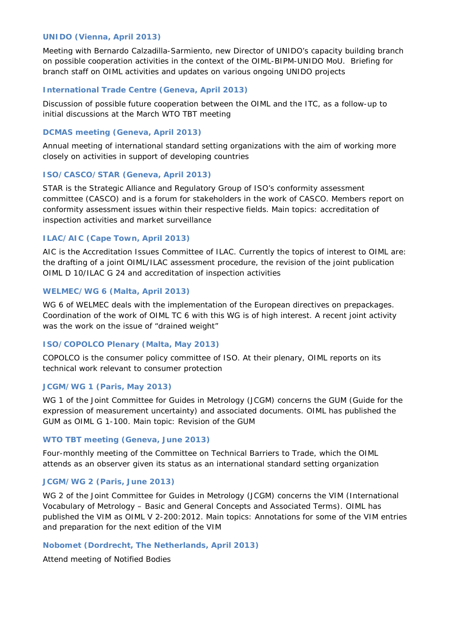#### **UNIDO (Vienna, April 2013)**

Meeting with Bernardo Calzadilla-Sarmiento, new Director of UNIDO's capacity building branch on possible cooperation activities in the context of the OIML-BIPM-UNIDO MoU. Briefing for branch staff on OIML activities and updates on various ongoing UNIDO projects

#### **International Trade Centre (Geneva, April 2013)**

Discussion of possible future cooperation between the OIML and the ITC, as a follow-up to initial discussions at the March WTO TBT meeting

#### **DCMAS meeting (Geneva, April 2013)**

Annual meeting of international standard setting organizations with the aim of working more closely on activities in support of developing countries

#### **ISO/CASCO/STAR (Geneva, April 2013)**

STAR is the Strategic Alliance and Regulatory Group of ISO's conformity assessment committee (CASCO) and is a forum for stakeholders in the work of CASCO. Members report on conformity assessment issues within their respective fields. Main topics: accreditation of inspection activities and market surveillance

#### **ILAC/AIC (Cape Town, April 2013)**

AIC is the Accreditation Issues Committee of ILAC. Currently the topics of interest to OIML are: the drafting of a joint OIML/ILAC assessment procedure, the revision of the joint publication OIML D 10/ILAC G 24 and accreditation of inspection activities

#### **WELMEC/WG 6 (Malta, April 2013)**

WG 6 of WELMEC deals with the implementation of the European directives on prepackages. Coordination of the work of OIML TC 6 with this WG is of high interest. A recent joint activity was the work on the issue of "drained weight"

#### **ISO/COPOLCO Plenary (Malta, May 2013)**

COPOLCO is the consumer policy committee of ISO. At their plenary, OIML reports on its technical work relevant to consumer protection

#### **JCGM/WG 1 (Paris, May 2013)**

WG 1 of the Joint Committee for Guides in Metrology (JCGM) concerns the GUM (Guide for the expression of measurement uncertainty) and associated documents. OIML has published the GUM as OIML G 1-100. Main topic: Revision of the GUM

#### **WTO TBT meeting (Geneva, June 2013)**

Four-monthly meeting of the Committee on Technical Barriers to Trade, which the OIML attends as an observer given its status as an international standard setting organization

#### **JCGM/WG 2 (Paris, June 2013)**

WG 2 of the Joint Committee for Guides in Metrology (JCGM) concerns the VIM (International Vocabulary of Metrology – Basic and General Concepts and Associated Terms). OIML has published the VIM as OIML V 2-200:2012. Main topics: Annotations for some of the VIM entries and preparation for the next edition of the VIM

#### **Nobomet (Dordrecht, The Netherlands, April 2013)**

Attend meeting of Notified Bodies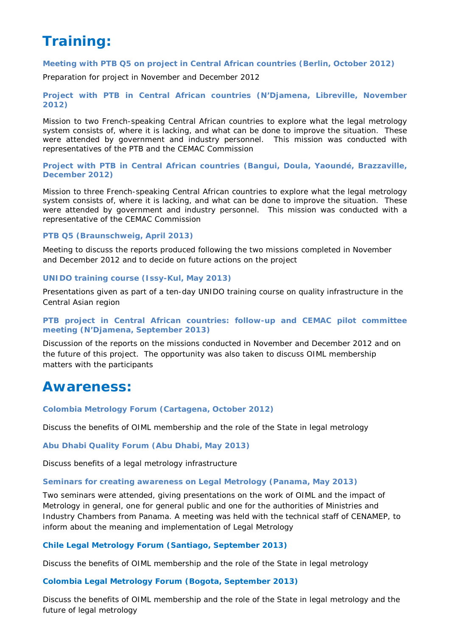# **Training:**

#### **Meeting with PTB Q5 on project in Central African countries (Berlin, October 2012)**

Preparation for project in November and December 2012

**Project with PTB in Central African countries (N'Djamena, Libreville, November 2012)**

Mission to two French-speaking Central African countries to explore what the legal metrology system consists of, where it is lacking, and what can be done to improve the situation. These were attended by government and industry personnel. This mission was conducted with representatives of the PTB and the CEMAC Commission

**Project with PTB in Central African countries (Bangui, Doula, Yaoundé, Brazzaville, December 2012)**

Mission to three French-speaking Central African countries to explore what the legal metrology system consists of, where it is lacking, and what can be done to improve the situation. These were attended by government and industry personnel. This mission was conducted with a representative of the CEMAC Commission

#### **PTB Q5 (Braunschweig, April 2013)**

Meeting to discuss the reports produced following the two missions completed in November and December 2012 and to decide on future actions on the project

#### **UNIDO training course (Issy-Kul, May 2013)**

Presentations given as part of a ten-day UNIDO training course on quality infrastructure in the Central Asian region

#### **PTB project in Central African countries: follow-up and CEMAC pilot committee meeting (N'Djamena, September 2013)**

Discussion of the reports on the missions conducted in November and December 2012 and on the future of this project. The opportunity was also taken to discuss OIML membership matters with the participants

### **Awareness:**

**Colombia Metrology Forum (Cartagena, October 2012)**

Discuss the benefits of OIML membership and the role of the State in legal metrology

**Abu Dhabi Quality Forum (Abu Dhabi, May 2013)**

Discuss benefits of a legal metrology infrastructure

#### **Seminars for creating awareness on Legal Metrology (Panama, May 2013)**

Two seminars were attended, giving presentations on the work of OIML and the impact of Metrology in general, one for general public and one for the authorities of Ministries and Industry Chambers from Panama. A meeting was held with the technical staff of CENAMEP, to inform about the meaning and implementation of Legal Metrology

#### **Chile Legal Metrology Forum (Santiago, September 2013)**

Discuss the benefits of OIML membership and the role of the State in legal metrology

#### **Colombia Legal Metrology Forum (Bogota, September 2013)**

Discuss the benefits of OIML membership and the role of the State in legal metrology and the future of legal metrology